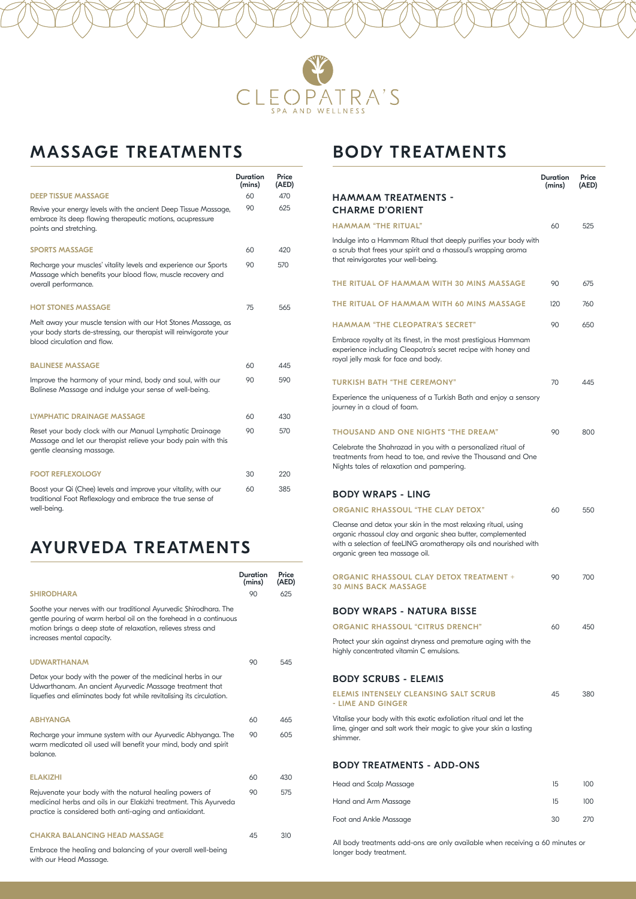

# MASSAGE TREATMENTS

|                                                                                                                                                                     | Duration<br>(mins) | Price<br>(AED) |
|---------------------------------------------------------------------------------------------------------------------------------------------------------------------|--------------------|----------------|
| <b>DEEP TISSUE MASSAGE</b>                                                                                                                                          | 60                 | 470            |
| Revive your energy levels with the ancient Deep Tissue Massage,<br>embrace its deep flowing therapeutic motions, acupressure<br>points and stretching.              | 90                 | 625            |
| <b>SPORTS MASSAGE</b>                                                                                                                                               | 60                 | 420            |
| Recharge your muscles' vitality levels and experience our Sports<br>Massage which benefits your blood flow, muscle recovery and<br>overall performance.             | 90                 | 570            |
| <b>HOT STONES MASSAGE</b>                                                                                                                                           | 75                 | 565            |
| Melt away your muscle tension with our Hot Stones Massage, as<br>your body starts de-stressing, our therapist will reinvigorate your<br>blood circulation and flow. |                    |                |
| <b>BALINESE MASSAGE</b>                                                                                                                                             | 60                 | 445            |
| Improve the harmony of your mind, body and soul, with our<br>Balinese Massage and indulge your sense of well-being.                                                 | 90                 | 590            |
| <b>LYMPHATIC DRAINAGE MASSAGE</b>                                                                                                                                   | 60                 | 430            |
| Reset your body clock with our Manual Lymphatic Drainage<br>Massage and let our therapist relieve your body pain with this<br>gentle cleansing massage.             | 90                 | 570            |
| <b>FOOT REFLEXOLOGY</b>                                                                                                                                             | 30                 | 220            |
| Boost your Qi (Chee) levels and improve your vitality, with our<br>traditional Foot Reflexology and embrace the true sense of<br>well-being.                        | 60                 | 385            |

## AYURVEDA TREATMENTS

|                                                                                                                                                                                                                                       | Duration<br>(mins) | Price<br>(AED) |
|---------------------------------------------------------------------------------------------------------------------------------------------------------------------------------------------------------------------------------------|--------------------|----------------|
| <b>SHIRODHARA</b>                                                                                                                                                                                                                     | 90                 | 625            |
| Soothe your nerves with our traditional Ayurvedic Shirodhara. The<br>gentle pouring of warm herbal oil on the forehead in a continuous<br>motion brings a deep state of relaxation, relieves stress and<br>increases mental capacity. |                    |                |
| <b>UDWARTHANAM</b>                                                                                                                                                                                                                    | 90                 | 545            |
| Detox your body with the power of the medicinal herbs in our<br>Udwarthanam. An ancient Ayurvedic Massage treatment that<br>liquefies and eliminates body fat while revitalising its circulation.                                     |                    |                |
| <b>ABHYANGA</b>                                                                                                                                                                                                                       | 60                 | 465            |
| Recharge your immune system with our Ayurvedic Abhyanga. The<br>warm medicated oil used will benefit your mind, body and spirit<br>balance.                                                                                           | 90                 | 605            |
| <b>ELAKIZHI</b>                                                                                                                                                                                                                       | 60                 | 430            |
| Rejuvenate your body with the natural healing powers of<br>medicinal herbs and oils in our Elakizhi treatment. This Ayurveda<br>practice is considered both anti-aging and antioxidant.                                               | 90                 | 575            |
| <b>CHAKRA BALANCING HEAD MASSAGE</b>                                                                                                                                                                                                  | 45                 | 310            |
| Embrace the healing and balancing of your overall well-being<br>with our Head Massage.                                                                                                                                                |                    |                |

### BODY TREATMENTS

|                                                                                                                                                                                                                                     | Duration<br>(mins) | Price<br>(AED) |
|-------------------------------------------------------------------------------------------------------------------------------------------------------------------------------------------------------------------------------------|--------------------|----------------|
| <b>HAMMAM TREATMENTS -</b><br><b>CHARME D'ORIENT</b>                                                                                                                                                                                |                    |                |
| <b>HAMMAM "THE RITUAL"</b>                                                                                                                                                                                                          | 60                 | 525            |
| Indulge into a Hammam Ritual that deeply purifies your body with<br>a scrub that frees your spirit and a rhassoul's wrapping aroma<br>that reinvigorates your well-being.                                                           |                    |                |
| THE RITUAL OF HAMMAM WITH 30 MINS MASSAGE                                                                                                                                                                                           | 90                 | 675            |
| THE RITUAL OF HAMMAM WITH 60 MINS MASSAGE                                                                                                                                                                                           | 120                | 760            |
| <b>HAMMAM "THE CLEOPATRA'S SECRET"</b>                                                                                                                                                                                              | 90                 | 650            |
| Embrace royalty at its finest, in the most prestigious Hammam<br>experience including Cleopatra's secret recipe with honey and<br>royal jelly mask for face and body.                                                               |                    |                |
| <b>TURKISH BATH "THE CEREMONY"</b>                                                                                                                                                                                                  | 70                 | 445            |
| Experience the uniqueness of a Turkish Bath and enjoy a sensory<br>journey in a cloud of foam.                                                                                                                                      |                    |                |
| <b>THOUSAND AND ONE NIGHTS "THE DREAM"</b>                                                                                                                                                                                          | 90                 | 800            |
| Celebrate the Shahrazad in you with a personalized ritual of<br>treatments from head to toe, and revive the Thousand and One<br>Nights tales of relaxation and pampering.                                                           |                    |                |
| <b>BODY WRAPS - LING</b>                                                                                                                                                                                                            |                    |                |
| <b>ORGANIC RHASSOUL "THE CLAY DETOX"</b>                                                                                                                                                                                            | 60                 | 550            |
| Cleanse and detox your skin in the most relaxing ritual, using<br>organic rhassoul clay and organic shea butter, complemented<br>with a selection of feeLING aromatherapy oils and nourished with<br>organic green tea massage oil. |                    |                |
| <b>ORGANIC RHASSOUL CLAY DETOX TREATMENT +</b><br><b>30 MINS BACK MASSAGE</b>                                                                                                                                                       | 90                 | 700            |
| <b>BODY WRAPS - NATURA BISSE</b>                                                                                                                                                                                                    |                    |                |
| <b>ORGANIC RHASSOUL "CITRUS DRENCH"</b>                                                                                                                                                                                             | 60                 | 450            |
| Protect your skin against dryness and premature aging with the<br>highly concentrated vitamin C emulsions.                                                                                                                          |                    |                |
| <b>BODY SCRUBS - ELEMIS</b>                                                                                                                                                                                                         |                    |                |
| <b>ELEMIS INTENSELY CLEANSING SALT SCRUB</b><br>- LIME AND GINGER                                                                                                                                                                   | 45                 | 380            |
| Vitalise your body with this exotic exfoliation ritual and let the<br>lime, ginger and salt work their magic to give your skin a lasting<br>shimmer.                                                                                |                    |                |
| <b>BODY TREATMENTS - ADD-ONS</b>                                                                                                                                                                                                    |                    |                |
| <b>Head and Scalp Massage</b>                                                                                                                                                                                                       | 15                 | 100            |
| Hand and Arm Massage                                                                                                                                                                                                                | 15                 | 100            |
| Foot and Ankle Massage                                                                                                                                                                                                              | 30                 | 270            |

All body treatments add-ons are only available when receiving a 60 minutes or longer body treatment.